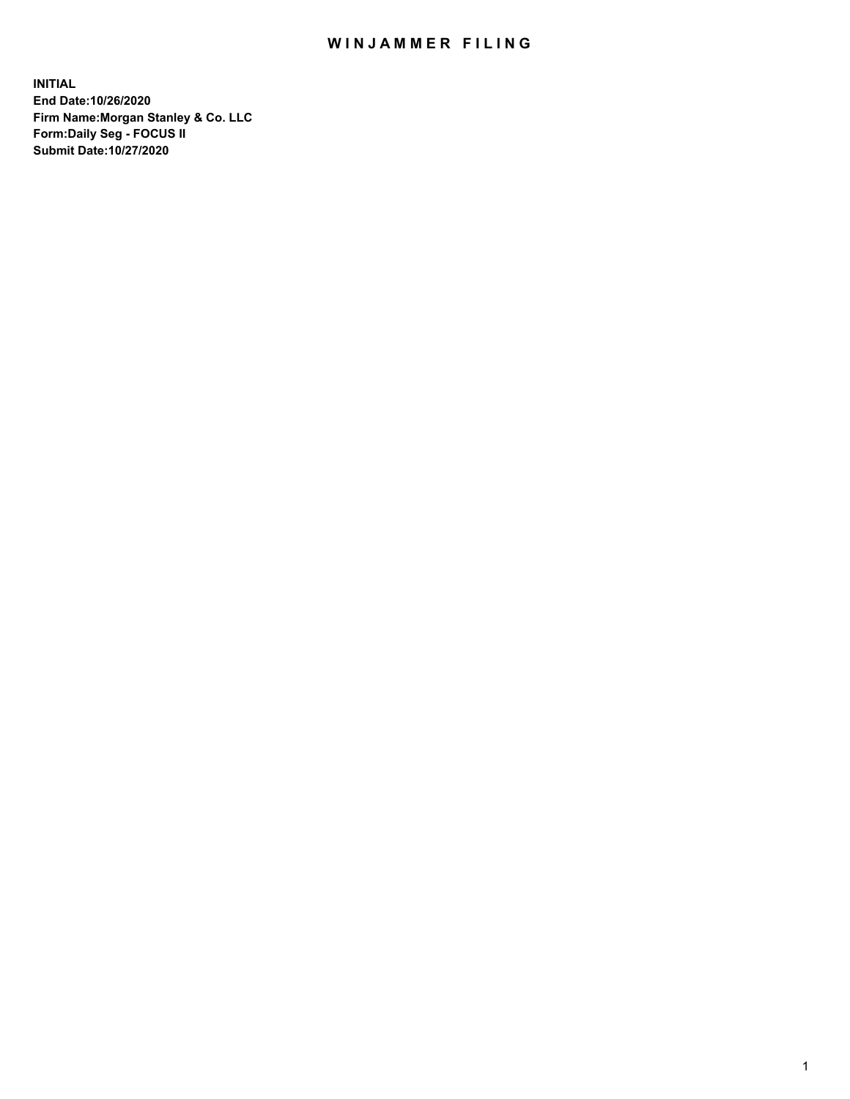## WIN JAMMER FILING

**INITIAL End Date:10/26/2020 Firm Name:Morgan Stanley & Co. LLC Form:Daily Seg - FOCUS II Submit Date:10/27/2020**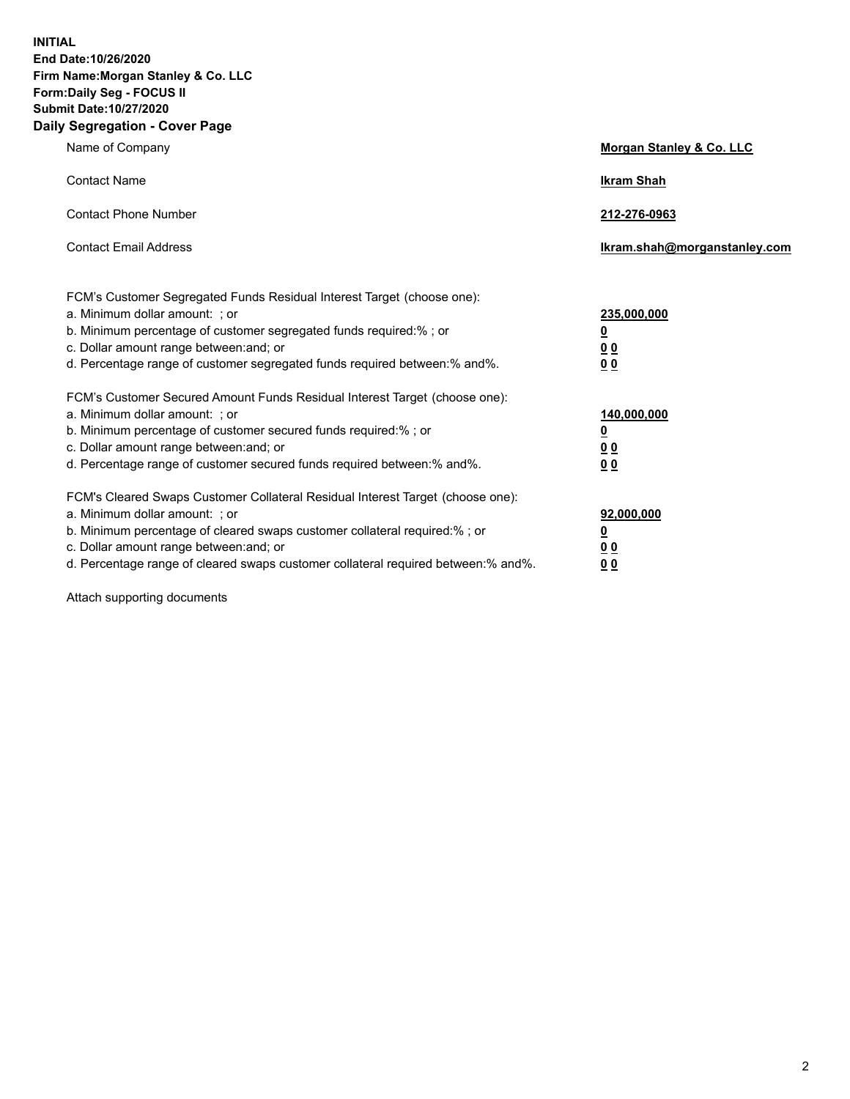**INITIAL End Date:10/26/2020 Firm Name:Morgan Stanley & Co. LLC Form:Daily Seg - FOCUS II Submit Date:10/27/2020 Daily Segregation - Cover Page**

| Name of Company                                                                                                                                                                                                                                                                                                               | Morgan Stanley & Co. LLC                                    |
|-------------------------------------------------------------------------------------------------------------------------------------------------------------------------------------------------------------------------------------------------------------------------------------------------------------------------------|-------------------------------------------------------------|
| <b>Contact Name</b>                                                                                                                                                                                                                                                                                                           | <b>Ikram Shah</b>                                           |
| <b>Contact Phone Number</b>                                                                                                                                                                                                                                                                                                   | 212-276-0963                                                |
| <b>Contact Email Address</b>                                                                                                                                                                                                                                                                                                  | Ikram.shah@morganstanley.com                                |
| FCM's Customer Segregated Funds Residual Interest Target (choose one):<br>a. Minimum dollar amount: ; or<br>b. Minimum percentage of customer segregated funds required:% ; or<br>c. Dollar amount range between: and; or<br>d. Percentage range of customer segregated funds required between:% and%.                        | 235,000,000<br><u>0</u><br>0 <sub>0</sub><br>0 <sub>0</sub> |
| FCM's Customer Secured Amount Funds Residual Interest Target (choose one):<br>a. Minimum dollar amount: ; or<br>b. Minimum percentage of customer secured funds required:%; or<br>c. Dollar amount range between: and; or<br>d. Percentage range of customer secured funds required between:% and%.                           | 140,000,000<br><u>0</u><br>0 <sub>0</sub><br>0 <sub>0</sub> |
| FCM's Cleared Swaps Customer Collateral Residual Interest Target (choose one):<br>a. Minimum dollar amount: ; or<br>b. Minimum percentage of cleared swaps customer collateral required:%; or<br>c. Dollar amount range between: and; or<br>d. Percentage range of cleared swaps customer collateral required between:% and%. | 92,000,000<br><u>0</u><br><u>0 0</u><br>0 <sub>0</sub>      |

Attach supporting documents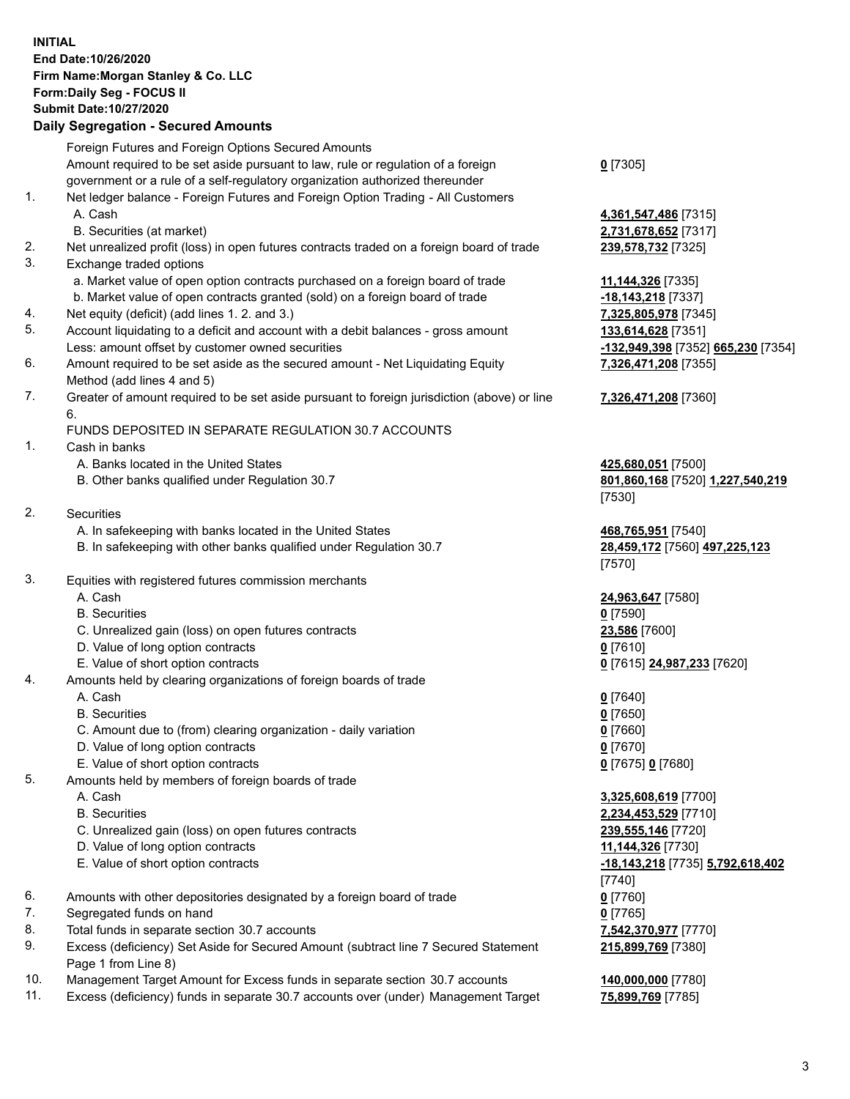## **INITIAL End Date:10/26/2020 Firm Name:Morgan Stanley & Co. LLC Form:Daily Seg - FOCUS II Submit Date:10/27/2020**

## **Daily Segregation - Secured Amounts**

Foreign Futures and Foreign Options Secured Amounts Amount required to be set aside pursuant to law, rule or regulation of a foreign government or a rule of a self-regulatory organization authorized thereunder 1. Net ledger balance - Foreign Futures and Foreign Option Trading - All Customers A. Cash **4,361,547,486** [7315] B. Securities (at market) **2,731,678,652** [7317] 2. Net unrealized profit (loss) in open futures contracts traded on a foreign board of trade **239,578,732** [7325] 3. Exchange traded options a. Market value of open option contracts purchased on a foreign board of trade **11,144,326** [7335] b. Market value of open contracts granted (sold) on a foreign board of trade **-18,143,218** [7337] 4. Net equity (deficit) (add lines 1. 2. and 3.) **7,325,805,978** [7345] 5. Account liquidating to a deficit and account with a debit balances - gross amount **133,614,628** [7351] Less: amount offset by customer owned securities **-132,949,398** [7352] **665,230** [7354] 6. Amount required to be set aside as the secured amount - Net Liquidating Equity Method (add lines 4 and 5) 7. Greater of amount required to be set aside pursuant to foreign jurisdiction (above) or line 6. FUNDS DEPOSITED IN SEPARATE REGULATION 30.7 ACCOUNTS 1. Cash in banks A. Banks located in the United States **425,680,051** [7500] B. Other banks qualified under Regulation 30.7 **801,860,168** [7520] **1,227,540,219** 2. Securities A. In safekeeping with banks located in the United States **468,765,951** [7540] B. In safekeeping with other banks qualified under Regulation 30.7 **28,459,172** [7560] **497,225,123** 3. Equities with registered futures commission merchants A. Cash **24,963,647** [7580] B. Securities **0** [7590] C. Unrealized gain (loss) on open futures contracts **23,586** [7600] D. Value of long option contracts **0** [7610] E. Value of short option contracts **0** [7615] **24,987,233** [7620] 4. Amounts held by clearing organizations of foreign boards of trade A. Cash **0** [7640] B. Securities **0** [7650] C. Amount due to (from) clearing organization - daily variation **0** [7660] D. Value of long option contracts **0** [7670] E. Value of short option contracts **0** [7675] **0** [7680] 5. Amounts held by members of foreign boards of trade A. Cash **3,325,608,619** [7700] B. Securities **2,234,453,529** [7710] C. Unrealized gain (loss) on open futures contracts **239,555,146** [7720] D. Value of long option contracts **11,144,326** [7730] E. Value of short option contracts **-18,143,218** [7735] **5,792,618,402** 6. Amounts with other depositories designated by a foreign board of trade **0** [7760] 7. Segregated funds on hand **0** [7765] 8. Total funds in separate section 30.7 accounts **7,542,370,977** [7770] 9. Excess (deficiency) Set Aside for Secured Amount (subtract line 7 Secured Statement Page 1 from Line 8)

10. Management Target Amount for Excess funds in separate section 30.7 accounts **140,000,000** [7780]

11. Excess (deficiency) funds in separate 30.7 accounts over (under) Management Target **75,899,769** [7785]

**0** [7305]

**7,326,471,208** [7355]

## **7,326,471,208** [7360]

[7530]

[7570]

[7740] **215,899,769** [7380]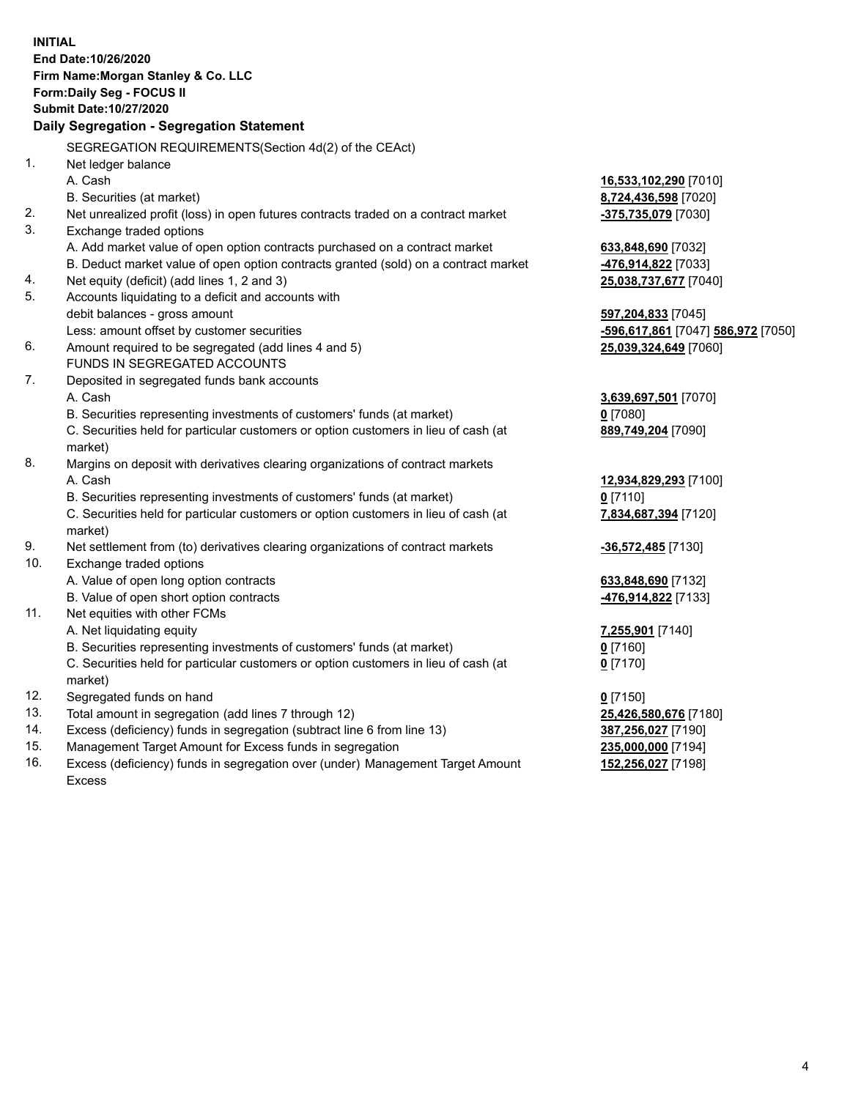| <b>INITIAL</b> | End Date:10/26/2020<br>Firm Name: Morgan Stanley & Co. LLC<br>Form: Daily Seg - FOCUS II<br>Submit Date: 10/27/2020<br>Daily Segregation - Segregation Statement |                                           |
|----------------|------------------------------------------------------------------------------------------------------------------------------------------------------------------|-------------------------------------------|
| 1 <sub>1</sub> | SEGREGATION REQUIREMENTS(Section 4d(2) of the CEAct)                                                                                                             |                                           |
|                | Net ledger balance<br>A. Cash                                                                                                                                    | 16,533,102,290 [7010]                     |
|                | B. Securities (at market)                                                                                                                                        | 8,724,436,598 [7020]                      |
| 2.<br>3.       | Net unrealized profit (loss) in open futures contracts traded on a contract market                                                                               | -375,735,079 [7030]                       |
|                | Exchange traded options<br>A. Add market value of open option contracts purchased on a contract market                                                           |                                           |
|                | B. Deduct market value of open option contracts granted (sold) on a contract market                                                                              | 633,848,690 [7032]<br>-476,914,822 [7033] |
| 4.             | Net equity (deficit) (add lines 1, 2 and 3)                                                                                                                      | 25,038,737,677 [7040]                     |
| 5.             | Accounts liquidating to a deficit and accounts with                                                                                                              |                                           |
|                | debit balances - gross amount                                                                                                                                    | 597,204,833 [7045]                        |
|                | Less: amount offset by customer securities                                                                                                                       | -596,617,861 [7047] 586,972 [7050]        |
| 6.             | Amount required to be segregated (add lines 4 and 5)                                                                                                             | 25,039,324,649 [7060]                     |
|                | FUNDS IN SEGREGATED ACCOUNTS                                                                                                                                     |                                           |
| 7.             | Deposited in segregated funds bank accounts                                                                                                                      |                                           |
|                | A. Cash                                                                                                                                                          | 3,639,697,501 [7070]                      |
|                | B. Securities representing investments of customers' funds (at market)                                                                                           | $0$ [7080]                                |
|                | C. Securities held for particular customers or option customers in lieu of cash (at                                                                              | 889,749,204 [7090]                        |
|                | market)                                                                                                                                                          |                                           |
| 8.             | Margins on deposit with derivatives clearing organizations of contract markets                                                                                   |                                           |
|                | A. Cash<br>B. Securities representing investments of customers' funds (at market)                                                                                | 12,934,829,293 [7100]                     |
|                | C. Securities held for particular customers or option customers in lieu of cash (at                                                                              | $0$ [7110]                                |
|                | market)                                                                                                                                                          | 7,834,687,394 [7120]                      |
| 9.             | Net settlement from (to) derivatives clearing organizations of contract markets                                                                                  | <u>-36,572,485</u> [7130]                 |
| 10.            | Exchange traded options                                                                                                                                          |                                           |
|                | A. Value of open long option contracts                                                                                                                           | 633,848,690 [7132]                        |
|                | B. Value of open short option contracts                                                                                                                          | 476,914,822 [7133]                        |
| 11.            | Net equities with other FCMs                                                                                                                                     |                                           |
|                | A. Net liquidating equity                                                                                                                                        | <u>7,255,901</u> [7140]                   |
|                | B. Securities representing investments of customers' funds (at market)                                                                                           | $0$ [7160]                                |
|                | C. Securities held for particular customers or option customers in lieu of cash (at<br>market)                                                                   | 0 <sup>[7170]</sup>                       |
| 12.            | Segregated funds on hand                                                                                                                                         | $0$ [7150]                                |
| 13.            | Total amount in segregation (add lines 7 through 12)                                                                                                             | 25,426,580,676 [7180]                     |
| 14.            | Excess (deficiency) funds in segregation (subtract line 6 from line 13)                                                                                          | 387,256,027 [7190]                        |
| 15.            | Management Target Amount for Excess funds in segregation                                                                                                         | 235,000,000 [7194]                        |
| 16.            | Excess (deficiency) funds in segregation over (under) Management Target Amount<br><b>Excess</b>                                                                  | 152,256,027 [7198]                        |